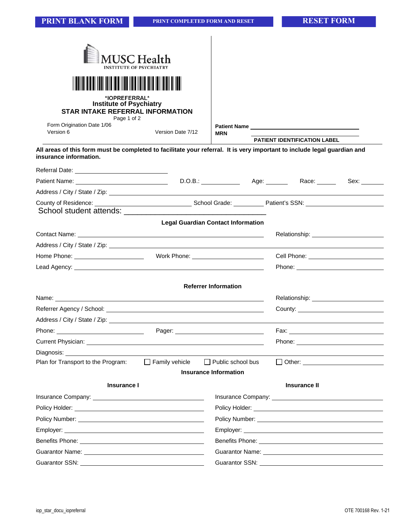| <b>INSTITUTE OF PSYCHIATRY</b><br>*IOPREFERRAL*<br><b>Institute of Psychiatry</b><br><b>STAR INTAKE REFERRAL INFORMATION</b><br>Page 1 of 2                                                                                          | USC Health                                |                              |                                                                                                               |                                     |  |  |
|--------------------------------------------------------------------------------------------------------------------------------------------------------------------------------------------------------------------------------------|-------------------------------------------|------------------------------|---------------------------------------------------------------------------------------------------------------|-------------------------------------|--|--|
| Form Origination Date 1/06<br>Version 6                                                                                                                                                                                              | Version Date 7/12                         | <b>MRN</b>                   |                                                                                                               | Patient Name                        |  |  |
| All areas of this form must be completed to facilitate your referral. It is very important to include legal guardian and                                                                                                             |                                           |                              |                                                                                                               | <b>PATIENT IDENTIFICATION LABEL</b> |  |  |
| insurance information.                                                                                                                                                                                                               |                                           |                              |                                                                                                               |                                     |  |  |
| Referral Date: <u>_______________________________</u>                                                                                                                                                                                |                                           |                              |                                                                                                               |                                     |  |  |
| Patient Name: <u>Contract of American Contract of American Contract of American Contract of American Contract of</u>                                                                                                                 |                                           |                              |                                                                                                               | D.O.B.: Age: Race: Race:            |  |  |
| Address / City / State / Zip: \\contact \\contact \\contact \\contact \\contact \\contact \\contact \\contact \\contact \\contact \\contact \\contact \\contact \\contact \\contact \\contact \\contact \\contact \\contact \\       |                                           |                              |                                                                                                               |                                     |  |  |
|                                                                                                                                                                                                                                      |                                           |                              |                                                                                                               |                                     |  |  |
|                                                                                                                                                                                                                                      | <b>Legal Guardian Contact Information</b> |                              |                                                                                                               |                                     |  |  |
|                                                                                                                                                                                                                                      |                                           |                              |                                                                                                               |                                     |  |  |
|                                                                                                                                                                                                                                      |                                           |                              |                                                                                                               |                                     |  |  |
|                                                                                                                                                                                                                                      |                                           |                              |                                                                                                               | Cell Phone: New York Cell Phone:    |  |  |
|                                                                                                                                                                                                                                      |                                           |                              |                                                                                                               |                                     |  |  |
|                                                                                                                                                                                                                                      |                                           | <b>Referrer Information</b>  |                                                                                                               |                                     |  |  |
|                                                                                                                                                                                                                                      |                                           |                              |                                                                                                               |                                     |  |  |
|                                                                                                                                                                                                                                      |                                           |                              |                                                                                                               |                                     |  |  |
|                                                                                                                                                                                                                                      |                                           |                              |                                                                                                               |                                     |  |  |
| Phone:                                                                                                                                                                                                                               | Pager:                                    |                              |                                                                                                               | Fax:                                |  |  |
| Current Physician: <u>contract and contract and contract and contract and contract and contract and contract and contract and contract and contract and contract and contract and contract and contract and contract and contrac</u> |                                           |                              |                                                                                                               |                                     |  |  |
| Diagnosis: _                                                                                                                                                                                                                         |                                           |                              |                                                                                                               |                                     |  |  |
| Plan for Transport to the Program:                                                                                                                                                                                                   | $\Box$ Family vehicle                     | $\Box$ Public school bus     |                                                                                                               |                                     |  |  |
|                                                                                                                                                                                                                                      |                                           | <b>Insurance Information</b> |                                                                                                               |                                     |  |  |
| <b>Insurance I</b>                                                                                                                                                                                                                   |                                           |                              |                                                                                                               | <b>Insurance II</b>                 |  |  |
|                                                                                                                                                                                                                                      |                                           |                              |                                                                                                               |                                     |  |  |
|                                                                                                                                                                                                                                      |                                           |                              |                                                                                                               |                                     |  |  |
|                                                                                                                                                                                                                                      |                                           |                              |                                                                                                               |                                     |  |  |
|                                                                                                                                                                                                                                      |                                           |                              |                                                                                                               |                                     |  |  |
|                                                                                                                                                                                                                                      |                                           |                              |                                                                                                               |                                     |  |  |
|                                                                                                                                                                                                                                      |                                           |                              |                                                                                                               |                                     |  |  |
| Guarantor SSN: Value of the Contract of the Contract of the Contract of the Contract of the Contract of the Co                                                                                                                       |                                           |                              | Guarantor SSN: Victor Contractor Contractor Contractor Contractor Contractor Contractor Contractor Contractor |                                     |  |  |